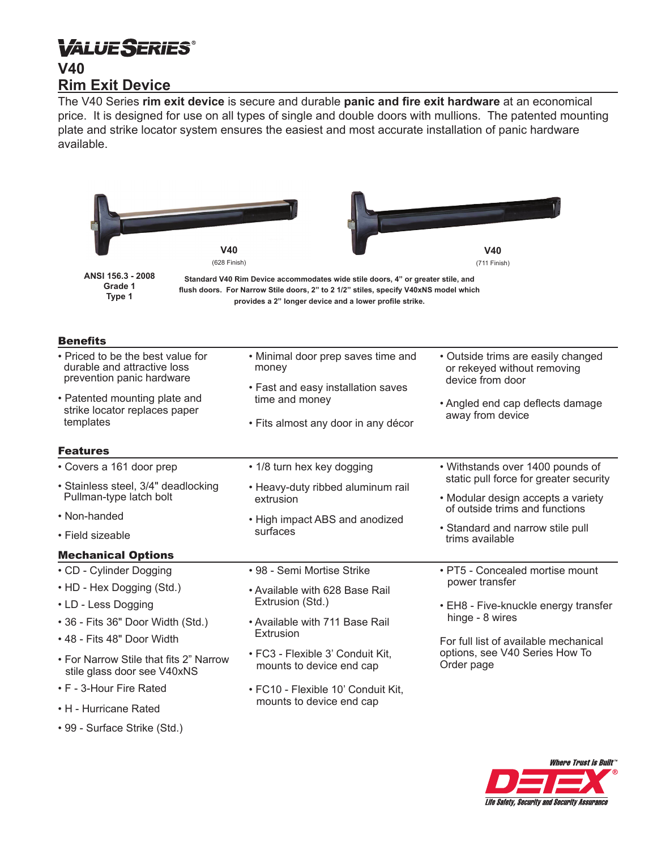# **VALUESERIES® V40 Rim Exit Device**

The V40 Series **rim exit device** is secure and durable **panic and fire exit hardware** at an economical price. It is designed for use on all types of single and double doors with mullions. The patented mounting plate and strike locator system ensures the easiest and most accurate installation of panic hardware available.

| V40<br>(628 Finish)                                                                           |                                                                                                                                                                                                                                    | V40<br>(711 Finish)                                                                                                                                                                                   |
|-----------------------------------------------------------------------------------------------|------------------------------------------------------------------------------------------------------------------------------------------------------------------------------------------------------------------------------------|-------------------------------------------------------------------------------------------------------------------------------------------------------------------------------------------------------|
| ANSI 156.3 - 2008<br>Grade 1<br>Type 1                                                        | Standard V40 Rim Device accommodates wide stile doors, 4" or greater stile, and<br>flush doors. For Narrow Stile doors, 2" to 2 1/2" stiles, specify V40xNS model which<br>provides a 2" longer device and a lower profile strike. |                                                                                                                                                                                                       |
| <b>Benefits</b>                                                                               |                                                                                                                                                                                                                                    |                                                                                                                                                                                                       |
| • Priced to be the best value for<br>durable and attractive loss<br>prevention panic hardware | • Minimal door prep saves time and<br>money<br>• Fast and easy installation saves                                                                                                                                                  | • Outside trims are easily changed<br>or rekeyed without removing<br>device from door<br>• Angled end cap deflects damage<br>away from device                                                         |
| • Patented mounting plate and<br>strike locator replaces paper<br>templates                   | time and money<br>• Fits almost any door in any décor                                                                                                                                                                              |                                                                                                                                                                                                       |
| <b>Features</b>                                                                               |                                                                                                                                                                                                                                    |                                                                                                                                                                                                       |
| • Covers a 161 door prep<br>· Stainless steel, 3/4" deadlocking                               | • 1/8 turn hex key dogging                                                                                                                                                                                                         | • Withstands over 1400 pounds of<br>static pull force for greater security                                                                                                                            |
| Pullman-type latch bolt                                                                       | • Heavy-duty ribbed aluminum rail<br>extrusion<br>• High impact ABS and anodized<br>surfaces<br>trims available                                                                                                                    | • Modular design accepts a variety<br>of outside trims and functions                                                                                                                                  |
| • Non-handed<br>• Field sizeable                                                              |                                                                                                                                                                                                                                    | • Standard and narrow stile pull                                                                                                                                                                      |
| <b>Mechanical Options</b>                                                                     |                                                                                                                                                                                                                                    |                                                                                                                                                                                                       |
| • CD - Cylinder Dogging                                                                       | • 98 - Semi Mortise Strike                                                                                                                                                                                                         | • PT5 - Concealed mortise mount<br>power transfer<br>• EH8 - Five-knuckle energy transfer<br>hinge - 8 wires<br>For full list of available mechanical<br>options, see V40 Series How To<br>Order page |
| • HD - Hex Dogging (Std.)<br>• LD - Less Dogging                                              | • Available with 628 Base Rail<br>Extrusion (Std.)                                                                                                                                                                                 |                                                                                                                                                                                                       |
| • 36 - Fits 36" Door Width (Std.)<br>• 48 - Fits 48" Door Width                               | • Available with 711 Base Rail<br>Extrusion                                                                                                                                                                                        |                                                                                                                                                                                                       |
| • For Narrow Stile that fits 2" Narrow<br>stile glass door see V40xNS                         | • FC3 - Flexible 3' Conduit Kit.<br>mounts to device end cap                                                                                                                                                                       |                                                                                                                                                                                                       |
| • F - 3-Hour Fire Rated                                                                       | • FC10 - Flexible 10' Conduit Kit,                                                                                                                                                                                                 |                                                                                                                                                                                                       |
| • H - Hurricane Rated                                                                         | mounts to device end cap                                                                                                                                                                                                           |                                                                                                                                                                                                       |
| • 99 - Surface Strike (Std.)                                                                  |                                                                                                                                                                                                                                    |                                                                                                                                                                                                       |